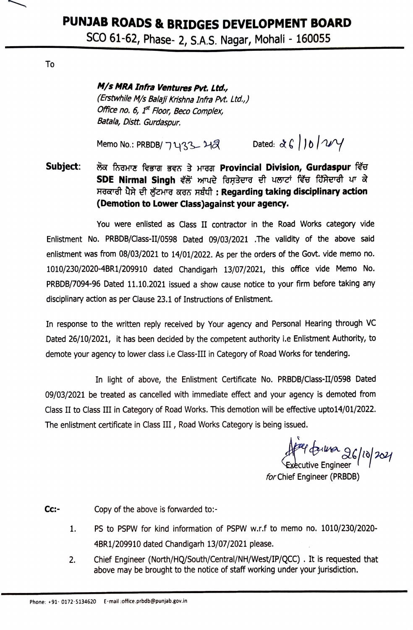## PUNJAB ROADS & BRIDGES DEVELOPMENT BOARD

SCO 61-62, Phase- 2, S.A.S. Nagar, Mohali - 160055

To

M/s MRA Infra Ventures Pvt. Ltd.,

(Erstwhile M/s Balaji Krishna Infra Pvt. Ltd.,) Office no. 6, 1<sup>st</sup> Floor, Beco Complex, Batala, Distt. Gurdaspur.

Memo No.: PRBDB/7433 - 212 Dated:  $\alpha \in 10^{10}$ 

Subject: ਲੋਕ ਨਿਰਮਾਣ ਵਿਭਾਗ ਭਵਨ ਤੇ ਮਾਰਗ Provincial Division, Gurdaspur ਵਿੱਚ SDE Nirmal Singh ਵੱਲੋਂ ਆਪਦੇ ਰਿਸ਼ਤੇਦਾਰ ਦੀ ਪਲਾਟਾਂ ਵਿੱਚ ਹਿੱਸੇਦਾਰੀ ਪਾ ਕੇ ਸਰਕਾਰੀ ਪੈਸੇ ਦੀ ਲੁੱਟਮਾਰ ਕਰਨ ਸਬੰਧੀ: Regarding taking disciplinary action (Demotion to Lower Class) against your agency.

You were enlisted as Class II contractor in the Road Works category vide Enlistment No. PRBDB/Class-II/0598 Dated 09/03/2021 .The validity of the above said enlistment was from 08/03/2021 to 14/01/2022. As per the orders of the Govt. vide memo no. 1010/230/2020-4BR1/209910 dated Chandigarh 13/07/2021, this office vide Memo No. PRBDB/7094-96 Dated 11.10.2021 issued a show cause notice to your firm before taking any disciplinary action as per Clause 23.1 of Instructions of Enlistment.

In response to the written reply received by Your agency and Personal Hearing through VC Dated 26/10/2021, it has been decided by the competent authority i.e Enlistment Authority, to demote your agency to lower class i.e Class-III in Category of Road Works for tendering.

In light of above, the Enlistment Certificate No. PRBDB/Class-II/0598 Dated 09/03/2021 be treated as cancelled with immediate effect and your agency is demoted from Class II to Class III in Category of Road Works. This demotion will be effective upto14/01/2022. The enlistment certificate in Class III, Road Works Category is being issued.

feel for the 26/10/2021

for Chief Engineer (PRBDB)

 $Cc:$ -Copy of the above is forwarded to:-

- PS to PSPW for kind information of PSPW w.r.f to memo no. 1010/230/2020-1. 4BR1/209910 dated Chandigarh 13/07/2021 please.
- Chief Engineer (North/HQ/South/Central/NH/West/IP/QCC). It is requested that 2. above may be brought to the notice of staff working under your jurisdiction.